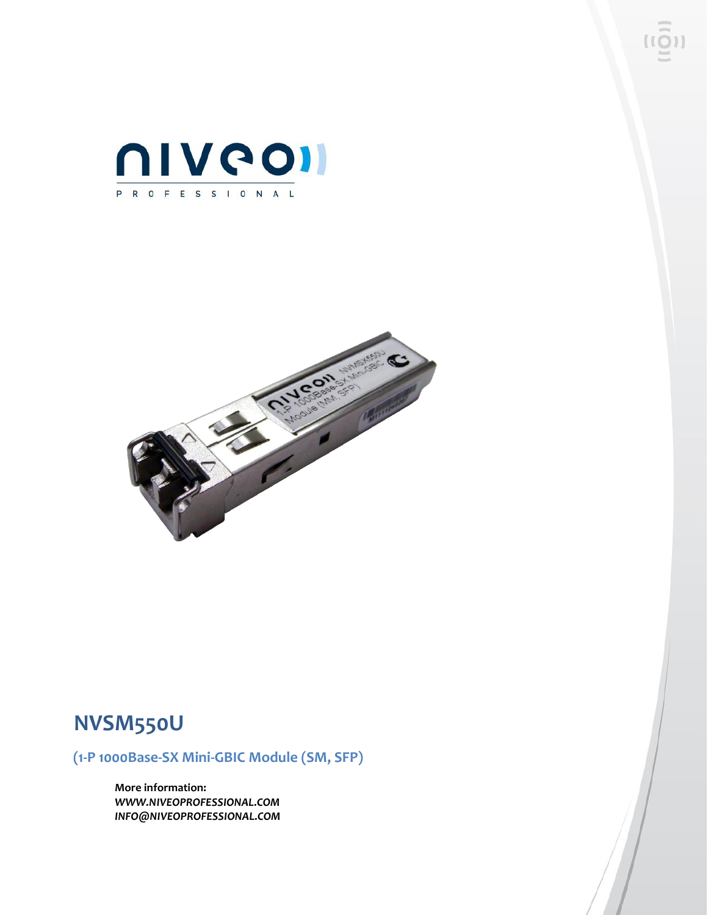



# **NVSM550U**

**(1-P 1000Base-SX Mini-GBIC Module (SM, SFP)**

**More information:** *WWW.NIVEOPROFESSIONAL.COM INFO@NIVEOPROFESSIONAL.COM*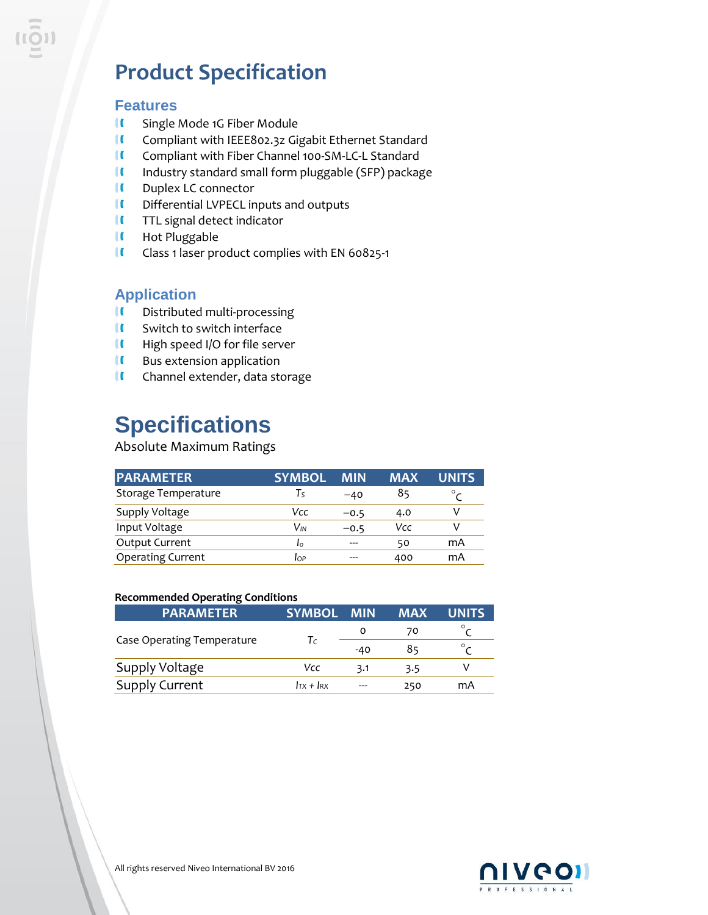# **Product Specification**

### **Features**

- $\mathbf{u}$ Single Mode 1G Fiber Module
- í C Compliant with IEEE802.3z Gigabit Ethernet Standard
- $\mathbf{u}$ Compliant with Fiber Channel 100-SM-LC-L Standard
- $\blacksquare$ Industry standard small form pluggable (SFP) package
- $\blacksquare$ Duplex LC connector
- **II** Differential LVPECL inputs and outputs
- **II** TTL signal detect indicator
- $\blacksquare$ Hot Pluggable
- $\mathbf{u}$ Class 1 laser product complies with EN 60825-1

## **Application**

- **II** Distributed multi-processing
- $\blacksquare$ Switch to switch interface
- $\blacksquare$ High speed I/O for file server
- $\blacksquare$ Bus extension application
- $\mathbf{u}$ Channel extender, data storage

# **Specifications**

### Absolute Maximum Ratings

| <b>PARAMETER</b>         | <b>SYMBOL</b> | <b>MIN</b> | <b>MAX</b> | <b>UNITS</b> |
|--------------------------|---------------|------------|------------|--------------|
| Storage Temperature      | Tς            | $-40$      | 85         | $\circ$      |
| Supply Voltage           | Vcc           | $-0.5$     | 4.0        |              |
| Input Voltage            | Vın           | $-0.5$     | Vcc        |              |
| Output Current           | Ι٥            | $---$      | 50         | mA           |
| <b>Operating Current</b> | IOP           | ---        | 400        | mA           |

#### **Recommended Operating Conditions**

| <b>PARAMETER</b>           | <b>SYMBOL</b> | <b>MIN</b> | <b>MAX</b> | <b>UNITS</b> |
|----------------------------|---------------|------------|------------|--------------|
|                            |               | 0          | 70         |              |
| Case Operating Temperature | Τc            | $-40$      | 85         | $\circ$      |
| Supply Voltage             | Vcc           | 3.1        | 3.5        |              |
| <b>Supply Current</b>      | $ITX + IRX$   | ---        | 250        | mA           |

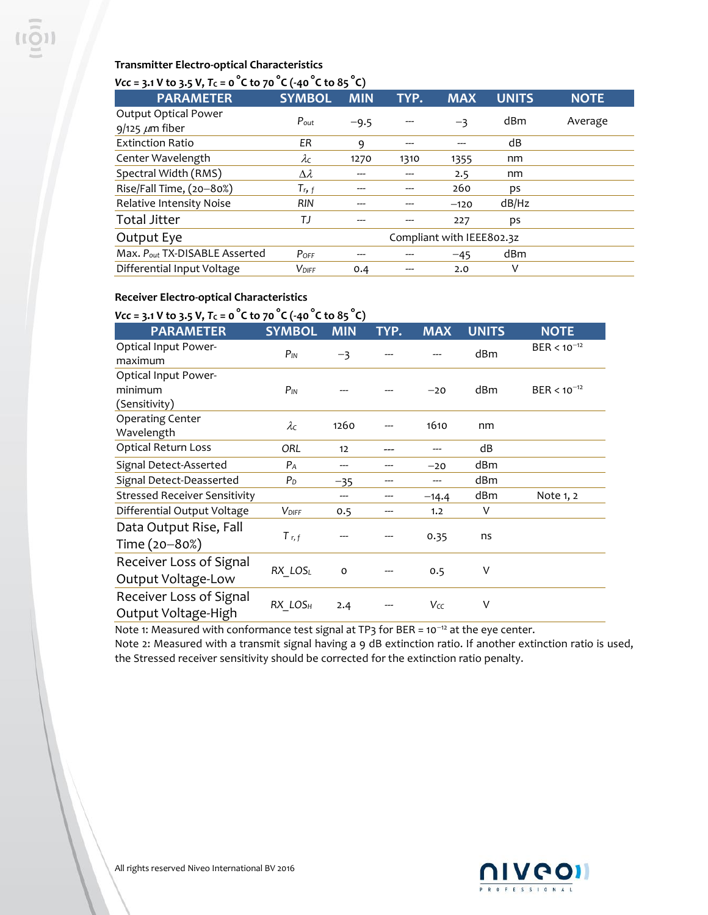### **Transmitter Electro-optical Characteristics**

## $Vcc = 3.1 \text{ V}$  to 3.5 V,  $Tc = 0 \degree C$  to 70  $\degree C$  (-40  $\degree C$  to 85  $\degree C$ )

| $\frac{1}{2}$ . The set of $\frac{1}{2}$ is the set of $\frac{1}{2}$ of $\frac{1}{2}$ is the set of $\frac{1}{2}$ is the set of $\frac{1}{2}$ |                           |            |      |            |              |             |
|-----------------------------------------------------------------------------------------------------------------------------------------------|---------------------------|------------|------|------------|--------------|-------------|
| <b>PARAMETER</b>                                                                                                                              | <b>SYMBOL</b>             | <b>MIN</b> | TYP. | <b>MAX</b> | <b>UNITS</b> | <b>NOTE</b> |
| Output Optical Power                                                                                                                          | $P_{\text{out}}$          |            | ---  |            | dBm          | Average     |
| $9/125 \ \mu m$ fiber                                                                                                                         |                           | $-9.5$     |      | $-3$       |              |             |
| <b>Extinction Ratio</b>                                                                                                                       | ER                        | 9          | ---  |            | dB           |             |
| Center Wavelength                                                                                                                             | $\lambda c$               | 1270       | 1310 | 1355       | nm           |             |
| Spectral Width (RMS)                                                                                                                          | $\Delta \lambda$          |            |      | 2.5        | nm           |             |
| Rise/Fall Time, (20-80%)                                                                                                                      | $T_{r, f}$                |            |      | 260        | ps           |             |
| Relative Intensity Noise                                                                                                                      | <b>RIN</b>                |            |      | $-120$     | dB/Hz        |             |
| <b>Total Jitter</b>                                                                                                                           | ТJ                        |            |      | 227        | ps           |             |
| Output Eye                                                                                                                                    | Compliant with IEEE802.3z |            |      |            |              |             |
| Max. Pout TX-DISABLE Asserted                                                                                                                 | $P_{OFF}$                 |            |      | $-45$      | dBm          |             |
| Differential Input Voltage                                                                                                                    | <b>VDIFF</b>              | 0.4        |      | 2.0        | ٧            |             |

## **Receiver Electro-optical Characteristics**

# *Vcc* = 3.1 V to 3.5 V,  $T_c$  = 0<sup>°</sup>C to 70<sup>°</sup>C (-40<sup>°</sup>C to 85<sup>°</sup>C)

| <b>PARAMETER</b>                                 | <b>SYMBOL</b>       | <b>MIN</b> | TYP. | <b>MAX</b> | <b>UNITS</b> | <b>NOTE</b>      |
|--------------------------------------------------|---------------------|------------|------|------------|--------------|------------------|
| Optical Input Power-<br>maximum                  | $P_{IN}$            | $-3$       |      |            | dBm          | $BER < 10^{-12}$ |
| Optical Input Power-<br>minimum<br>(Sensitivity) | $P_{IN}$            |            |      | $-20$      | dBm          | $BER < 10^{-12}$ |
| <b>Operating Center</b><br>Wavelength            | $\lambda c$         | 1260       |      | 1610       | nm           |                  |
| Optical Return Loss                              | ORL                 | 12         |      |            | dB           |                  |
| Signal Detect-Asserted                           | $P_A$               | ---        | ---  | $-20$      | dBm          |                  |
| Signal Detect-Deasserted                         | $P_D$               | $-35$      |      |            | dBm          |                  |
| <b>Stressed Receiver Sensitivity</b>             |                     | ---        |      | $-14.4$    | dBm          | Note 1, 2        |
| Differential Output Voltage                      | $V_{\text{DIFF}}$   | 0.5        |      | 1.2        | ٧            |                  |
| Data Output Rise, Fall                           | $T$ r, f            |            |      | 0.35       | ns           |                  |
| Time (20-80%)                                    |                     |            |      |            |              |                  |
| Receiver Loss of Signal                          | RX LOSL             | $\circ$    |      | 0.5        | ٧            |                  |
| Output Voltage-Low                               |                     |            |      |            |              |                  |
| Receiver Loss of Signal                          |                     |            |      | Vcc        | ٧            |                  |
| Output Voltage-High                              | RX LOS <sub>H</sub> | 2.4        |      |            |              |                  |

Note 1: Measured with conformance test signal at TP3 for BER =  $10^{-12}$  at the eye center.

Note 2: Measured with a transmit signal having a 9 dB extinction ratio. If another extinction ratio is used, the Stressed receiver sensitivity should be corrected for the extinction ratio penalty.